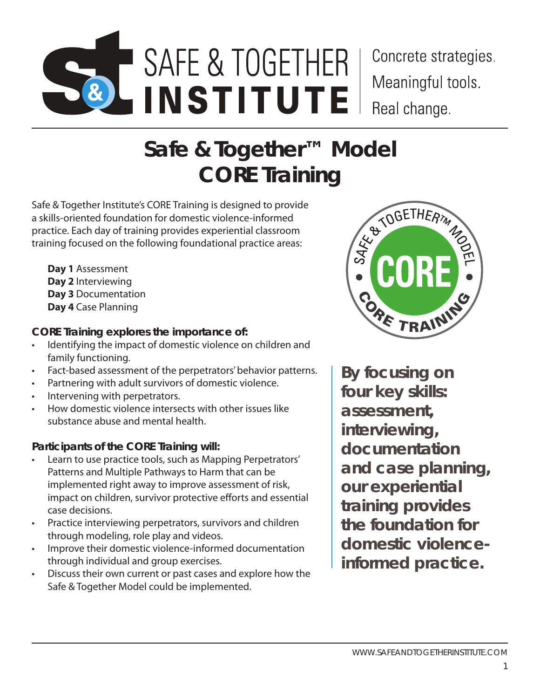# SAFE & TOGETHER MODEL TRAINER CERTIFICATION PROGRAM | **SAFE & TOGETHER INSTITUTE** SAFE & TOGETHER **INSTITUTE**

Concrete strategies. Meaningful tools. Real change.

## **Safe & Together™ Model CORE Training**

Safe & Together Institute's CORE Training is designed to provide a skills-oriented foundation for domestic violence-informed practice. Each day of training provides experiential classroom training focused on the following foundational practice areas:

**Day 1** Assessment **Day 2** Interviewing **Day 3** Documentation **Day 4** Case Planning

#### **CORE Training explores the importance of:**

- Identifying the impact of domestic violence on children and family functioning.
- Fact-based assessment of the perpetrators' behavior patterns.
- Partnering with adult survivors of domestic violence.
- Intervening with perpetrators.
- How domestic violence intersects with other issues like substance abuse and mental health.

### **Participants of the CORE Training will:**

- Learn to use practice tools, such as Mapping Perpetrators' Patterns and Multiple Pathways to Harm that can be implemented right away to improve assessment of risk, impact on children, survivor protective efforts and essential case decisions.
- Practice interviewing perpetrators, survivors and children through modeling, role play and videos.
- Improve their domestic violence-informed documentation through individual and group exercises.
- Discuss their own current or past cases and explore how the Safe & Together Model could be implemented.



*By focusing on four key skills: assessment, interviewing, documentation and case planning, our experiential training provides the foundation for domestic violenceinformed practice.*